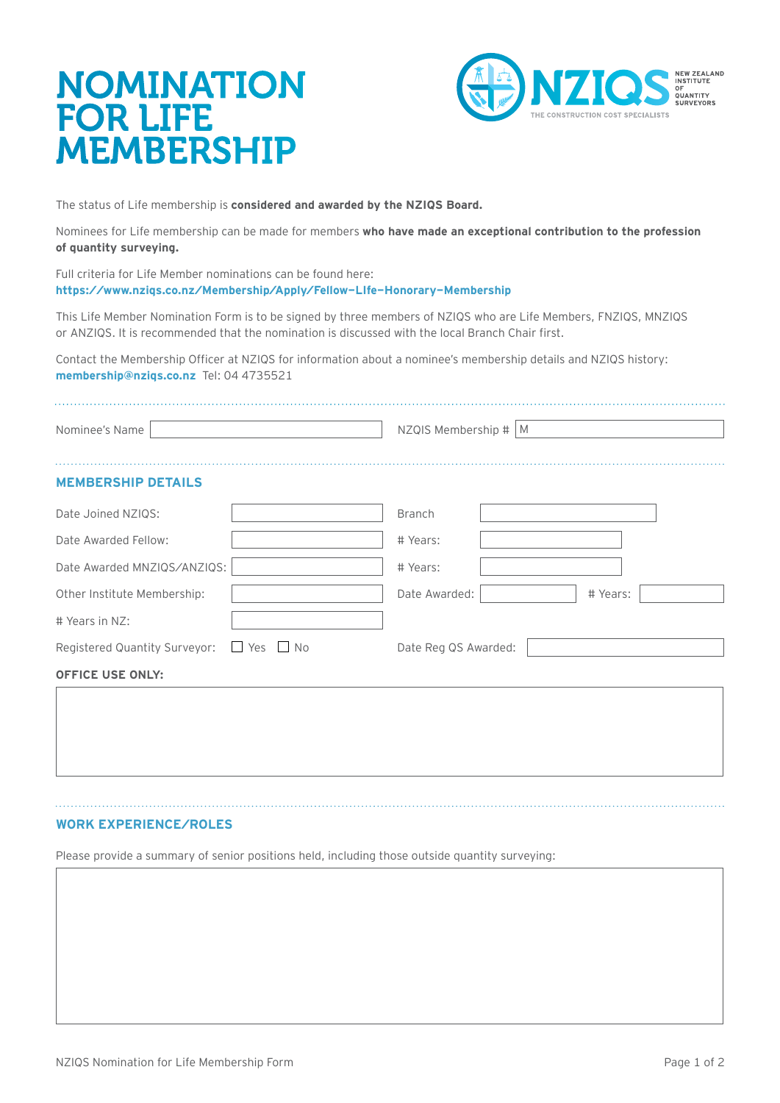# NOMINATION FOR LIFE MEMBERSHIP



The status of Life membership is **considered and awarded by the NZIQS Board.**

Nominees for Life membership can be made for members **who have made an exceptional contribution to the profession of quantity surveying.**

Full criteria for Life Member nominations can be found here: **<https://www.nziqs.co.nz/Membership/Apply/Fellow-LIfe-Honorary-Membership>**

This Life Member Nomination Form is to be signed by three members of NZIQS who are Life Members, FNZIQS, MNZIQS or ANZIQS. It is recommended that the nomination is discussed with the local Branch Chair first.

Contact the Membership Officer at NZIQS for information about a nominee's membership details and NZIQS history: **[membership@nziqs.co.nz](mailto:membership%40nziqs.co.nz?subject=)** Tel: 04 4735521

| Nominee's Name                                     |  | NZQIS Membership $\#$ M   |  |  |  |
|----------------------------------------------------|--|---------------------------|--|--|--|
| <b>MEMBERSHIP DETAILS</b>                          |  |                           |  |  |  |
| Date Joined NZIOS:                                 |  | <b>Branch</b>             |  |  |  |
| Date Awarded Fellow:                               |  | # Years:                  |  |  |  |
| Date Awarded MNZIQS/ANZIQS:                        |  | # Years:                  |  |  |  |
| Other Institute Membership:                        |  | Date Awarded:<br># Years: |  |  |  |
| # Years in NZ:                                     |  |                           |  |  |  |
| Registered Quantity Surveyor: $\Box$ Yes $\Box$ No |  | Date Reg QS Awarded:      |  |  |  |
| <b>OFFICE USE ONLY:</b>                            |  |                           |  |  |  |
|                                                    |  |                           |  |  |  |
|                                                    |  |                           |  |  |  |

### **WORK EXPERIENCE/ROLES**

Please provide a summary of senior positions held, including those outside quantity surveying: